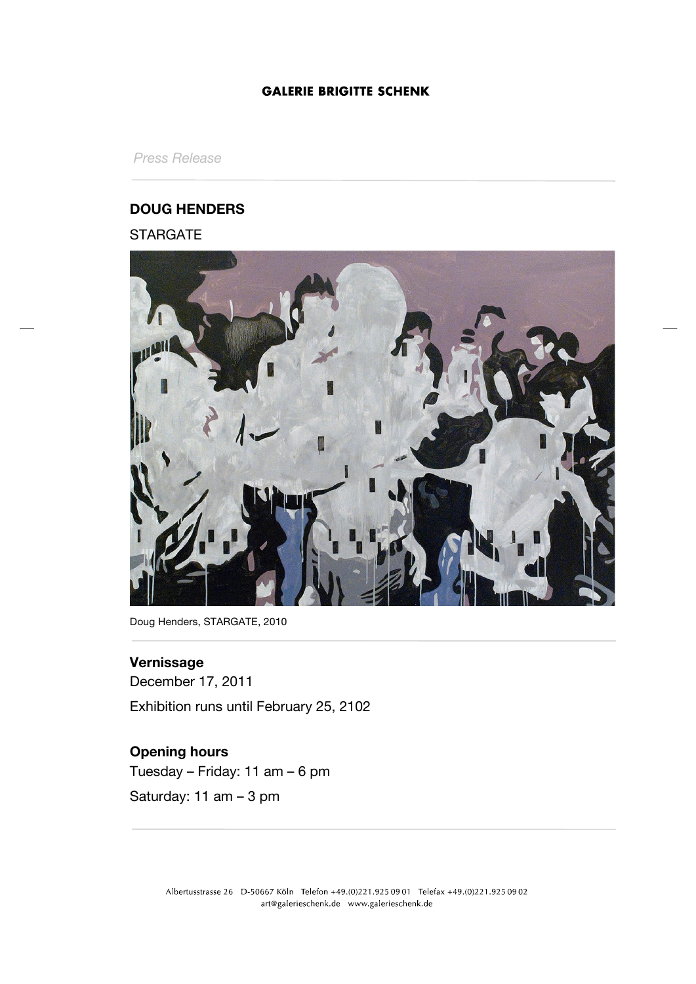## **GALERIE BRIGITTE SCHENK**

*Press Release*

## **DOUG HENDERS**

## **STARGATE**



Doug Henders, STARGATE, 2010

## **Vernissage**

December 17, 2011 Exhibition runs until February 25, 2102

# **Opening hours**

Tuesday – Friday: 11 am – 6 pm Saturday: 11 am – 3 pm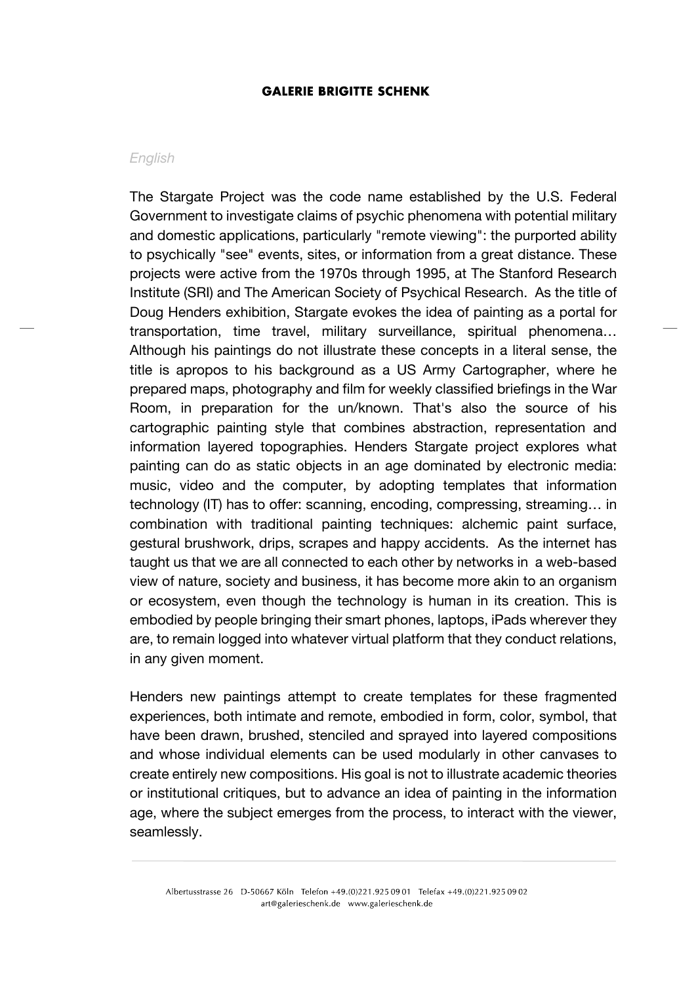#### **GALERIE BRIGITTE SCHENK**

### *English*

The Stargate Project was the code name established by the U.S. Federal Government to investigate claims of psychic phenomena with potential military and domestic applications, particularly "remote viewing": the purported ability to psychically "see" events, sites, or information from a great distance. These projects were active from the 1970s through 1995, at The Stanford Research Institute (SRI) and The American Society of Psychical Research. As the title of Doug Henders exhibition, Stargate evokes the idea of painting as a portal for transportation, time travel, military surveillance, spiritual phenomena… Although his paintings do not illustrate these concepts in a literal sense, the title is apropos to his background as a US Army Cartographer, where he prepared maps, photography and film for weekly classified briefings in the War Room, in preparation for the un/known. That's also the source of his cartographic painting style that combines abstraction, representation and information layered topographies. Henders Stargate project explores what painting can do as static objects in an age dominated by electronic media: music, video and the computer, by adopting templates that information technology (IT) has to offer: scanning, encoding, compressing, streaming… in combination with traditional painting techniques: alchemic paint surface, gestural brushwork, drips, scrapes and happy accidents. As the internet has taught us that we are all connected to each other by networks in a web-based view of nature, society and business, it has become more akin to an organism or ecosystem, even though the technology is human in its creation. This is embodied by people bringing their smart phones, laptops, iPads wherever they are, to remain logged into whatever virtual platform that they conduct relations, in any given moment.

Henders new paintings attempt to create templates for these fragmented experiences, both intimate and remote, embodied in form, color, symbol, that have been drawn, brushed, stenciled and sprayed into layered compositions and whose individual elements can be used modularly in other canvases to create entirely new compositions. His goal is not to illustrate academic theories or institutional critiques, but to advance an idea of painting in the information age, where the subject emerges from the process, to interact with the viewer, seamlessly.